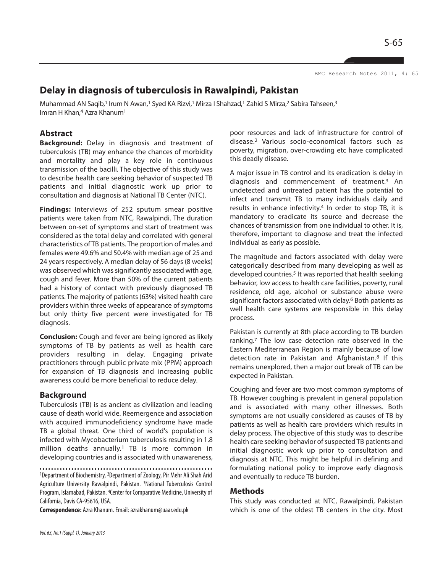# **Delay in diagnosis of tuberculosis in Rawalpindi, Pakistan**

Muhammad AN Saqib,<sup>1</sup> Irum N Awan,<sup>1</sup> Syed KA Rizvi,<sup>1</sup> Mirza I Shahzad,<sup>1</sup> Zahid S Mirza,<sup>2</sup> Sabira Tahseen,<sup>3</sup> Imran H Khan,<sup>4</sup> Azra Khanum<sup>1</sup>

# **Abstract**

**Background:** Delay in diagnosis and treatment of tuberculosis (TB) may enhance the chances of morbidity and mortality and play a key role in continuous transmission of the bacilli. The objective of this study was to describe health care seeking behavior of suspected TB patients and initial diagnostic work up prior to consultation and diagnosis at National TB Center (NTC).

**Findings:** Interviews of 252 sputum smear positive patients were taken from NTC, Rawalpindi. The duration between on-set of symptoms and start of treatment was considered as the total delay and correlated with general characteristics of TB patients. The proportion of males and females were 49.6% and 50.4% with median age of 25 and 24 years respectively. A median delay of 56 days (8 weeks) was observed which was significantly associated with age, cough and fever. More than 50% of the current patients had a history of contact with previously diagnosed TB patients. The majority of patients (63%) visited health care providers within three weeks of appearance of symptoms but only thirty five percent were investigated for TB diagnosis.

**Conclusion:** Cough and fever are being ignored as likely symptoms of TB by patients as well as health care providers resulting in delay. Engaging private practitioners through public private mix (PPM) approach for expansion of TB diagnosis and increasing public awareness could be more beneficial to reduce delay.

#### **Background**

Tuberculosis (TB) is as ancient as civilization and leading cause of death world wide. Reemergence and association with acquired immunodeficiency syndrome have made TB a global threat. One third of world's population is infected with Mycobacterium tuberculosis resulting in 1.8 million deaths annually.<sup>1</sup> TB is more common in developing countries and is associated with unawareness,

<sup>1</sup>Department of Biochemistry, 2Department of Zoology, Pir Mehr Ali Shah Arid Agriculture University Rawalpindi, Pakistan. 3National Tuberculosis Control Program, Islamabad, Pakistan. 4Center for Comparative Medicine, University of California, Davis CA-95616, USA.

**Correspondence:** Azra Khanum. Email: azrakhanum@uaar.edu.pk

poor resources and lack of infrastructure for control of disease.<sup>2</sup> Various socio-economical factors such as poverty, migration, over-crowding etc have complicated this deadly disease.

A major issue in TB control and its eradication is delay in diagnosis and commencement of treatment.<sup>3</sup> An undetected and untreated patient has the potential to infect and transmit TB to many individuals daily and results in enhance infectivity.<sup>4</sup> In order to stop TB, it is mandatory to eradicate its source and decrease the chances of transmission from one individual to other. It is, therefore, important to diagnose and treat the infected individual as early as possible.

The magnitude and factors associated with delay were categorically described from many developing as well as developed countries.<sup>5</sup> It was reported that health seeking behavior, low access to health care facilities, poverty, rural residence, old age, alcohol or substance abuse were significant factors associated with delay.<sup>6</sup> Both patients as well health care systems are responsible in this delay process.

Pakistan is currently at 8th place according to TB burden ranking.<sup>7</sup> The low case detection rate observed in the Eastern Mediterranean Region is mainly because of low detection rate in Pakistan and Afghanistan.<sup>8</sup> If this remains unexplored, then a major out break of TB can be expected in Pakistan.

Coughing and fever are two most common symptoms of TB. However coughing is prevalent in general population and is associated with many other illnesses. Both symptoms are not usually considered as causes of TB by patients as well as health care providers which results in delay process. The objective of this study was to describe health care seeking behavior of suspected TB patients and initial diagnostic work up prior to consultation and diagnosis at NTC. This might be helpful in defining and formulating national policy to improve early diagnosis and eventually to reduce TB burden.

#### **Methods**

This study was conducted at NTC, Rawalpindi, Pakistan which is one of the oldest TB centers in the city. Most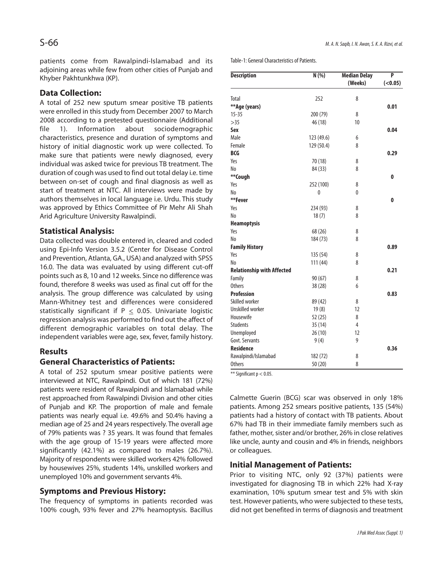patients come from Rawalpindi-Islamabad and its adjoining areas while few from other cities of Punjab and Khyber Pakhtunkhwa (KP).

# **Data Collection:**

A total of 252 new sputum smear positive TB patients were enrolled in this study from December 2007 to March 2008 according to a pretested questionnaire (Additional file 1). Information about sociodemographic characteristics, presence and duration of symptoms and history of initial diagnostic work up were collected. To make sure that patients were newly diagnosed, every individual was asked twice for previous TB treatment. The duration of cough was used to find out total delay i.e. time between on-set of cough and final diagnosis as well as start of treatment at NTC. All interviews were made by authors themselves in local language i.e. Urdu. This study was approved by Ethics Committee of Pir Mehr Ali Shah Arid Agriculture University Rawalpindi.

# **Statistical Analysis:**

Data collected was double entered in, cleared and coded using Epi-Info Version 3.5.2 (Center for Disease Control and Prevention, Atlanta, GA., USA) and analyzed with SPSS 16.0. The data was evaluated by using different cut-off points such as 8, 10 and 12 weeks. Since no difference was found, therefore 8 weeks was used as final cut off for the analysis. The group difference was calculated by using Mann-Whitney test and differences were considered statistically significant if  $P < 0.05$ . Univariate logistic regression analysis was performed to find out the affect of different demographic variables on total delay. The independent variables were age, sex, fever, family history.

# **Results**

# **General Characteristics of Patients:**

A total of 252 sputum smear positive patients were interviewed at NTC, Rawalpindi. Out of which 181 (72%) patients were resident of Rawalpindi and Islamabad while rest approached from Rawalpindi Division and other cities of Punjab and KP. The proportion of male and female patients was nearly equal i.e. 49.6% and 50.4% having a median age of 25 and 24 years respectively. The overall age of 79% patients was ? 35 years. It was found that females with the age group of 15-19 years were affected more significantly (42.1%) as compared to males (26.7%). Majority of respondents were skilled workers 42% followed by housewives 25%, students 14%, unskilled workers and unemployed 10% and government servants 4%.

# **Symptoms and Previous History:**

The frequency of symptoms in patients recorded was 100% cough, 93% fever and 27% heamoptysis. Bacillus Table-1: General Characteristics of Patients.

| <b>Description</b>                | N(% )      | <b>Median Delay</b> | $\overline{\mathsf{P}}$ |
|-----------------------------------|------------|---------------------|-------------------------|
|                                   |            | (Weeks)             | ( <b>0.05</b> )         |
| Total                             | 252        | 8                   |                         |
| **Age (years)                     |            |                     | 0.01                    |
| $15 - 35$                         | 200 (79)   | 8                   |                         |
| $>35$                             | 46 (18)    | 10                  |                         |
| Sex                               |            |                     | 0.04                    |
| Male                              | 123 (49.6) | 6                   |                         |
| Female                            | 129 (50.4) | 8                   |                         |
| <b>BCG</b>                        |            |                     | 0.29                    |
| Yes                               | 70 (18)    | 8                   |                         |
| No                                | 84 (33)    | 8                   |                         |
| **Cough                           |            |                     | 0                       |
| Yes                               | 252 (100)  | 8                   |                         |
| No                                | 0          | 0                   |                         |
| **Fever                           |            |                     | 0                       |
| Yes                               | 234 (93)   | 8                   |                         |
| N <sub>0</sub>                    | 18(7)      | 8                   |                         |
| Heamoptysis                       |            |                     |                         |
| Yes                               | 68 (26)    | 8                   |                         |
| No                                | 184 (73)   | 8                   |                         |
| <b>Family History</b>             |            |                     | 0.89                    |
| Yes                               | 135 (54)   | 8                   |                         |
| No                                | 111 (44)   | 8                   |                         |
| <b>Relationship with Affected</b> |            |                     | 0.21                    |
| Family                            | 90 (67)    | 8                   |                         |
| <b>Others</b>                     | 38 (28)    | 6                   |                         |
| <b>Profession</b>                 |            |                     | 0.83                    |
| Skilled worker                    | 89 (42)    | 8                   |                         |
| Unskilled worker                  | 19(8)      | 12                  |                         |
| Housewife                         | 52 (25)    | 8                   |                         |
| <b>Students</b>                   | 35 (14)    | 4                   |                         |
| Unemployed                        | 26(10)     | 12                  |                         |
| Govt. Servants                    | 9(4)       | 9                   |                         |
| <b>Residence</b>                  |            |                     | 0.36                    |
| Rawalpindi/Islamabad              | 182 (72)   | 8                   |                         |
| <b>Others</b>                     | 50 (20)    | 8                   |                         |

\*\* Significant  $p < 0.05$ .

Calmette Guerin (BCG) scar was observed in only 18% patients. Among 252 smears positive patients, 135 (54%) patients had a history of contact with TB patients. About 67% had TB in their immediate family members such as father, mother, sister and/or brother, 26% in close relatives like uncle, aunty and cousin and 4% in friends, neighbors or colleagues.

# **Initial Management of Patients:**

Prior to visiting NTC, only 92 (37%) patients were investigated for diagnosing TB in which 22% had X-ray examination, 10% sputum smear test and 5% with skin test. However patients, who were subjected to these tests, did not get benefited in terms of diagnosis and treatment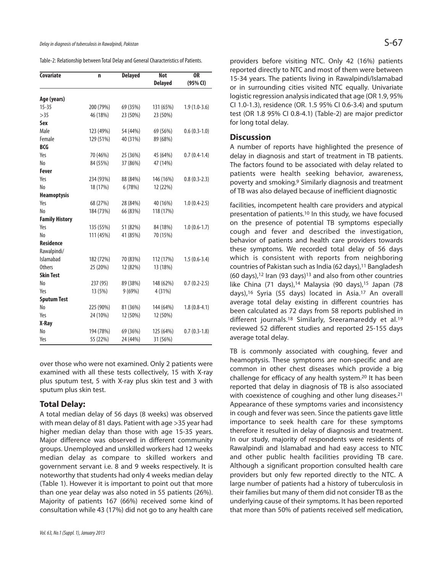Table-2: Relationship between Total Delay and General Characteristics of Patients.

| Covariate             | n         | <b>Delayed</b> | <b>Not</b>     | 0R             |
|-----------------------|-----------|----------------|----------------|----------------|
|                       |           |                | <b>Delayed</b> | (95% CI)       |
| Age (years)           |           |                |                |                |
| $15 - 35$             | 200 (79%) | 69 (35%)       | 131 (65%)      | $1.9(1.0-3.6)$ |
| $>35$                 | 46 (18%)  | 23 (50%)       | 23 (50%)       |                |
| Sex                   |           |                |                |                |
| Male                  | 123 (49%) | 54 (44%)       | 69 (56%)       | $0.6(0.3-1.0)$ |
| Female                | 129 (51%) | 40 (31%)       | 89 (68%)       |                |
| <b>BCG</b>            |           |                |                |                |
| Yes                   | 70 (46%)  | 25 (36%)       | 45 (64%)       | $0.7(0.4-1.4)$ |
| No                    | 84 (55%)  | 37 (86%)       | 47 (14%)       |                |
| <b>Fever</b>          |           |                |                |                |
| Yes                   | 234 (93%) | 88 (84%)       | 146 (16%)      | $0.8(0.3-2.3)$ |
| N <sub>0</sub>        | 18 (17%)  | 6(78%)         | 12 (22%)       |                |
| <b>Heamoptysis</b>    |           |                |                |                |
| Yes                   | 68 (27%)  | 28 (84%)       | 40 (16%)       | $1.0(0.4-2.5)$ |
| No                    | 184 (73%) | 66 (83%)       | 118 (17%)      |                |
| <b>Family History</b> |           |                |                |                |
| Yes                   | 135 (55%) | 51 (82%)       | 84 (18%)       | $1.0(0.6-1.7)$ |
| No                    | 111 (45%) | 41 (85%)       | 70 (15%)       |                |
| <b>Residence</b>      |           |                |                |                |
| Rawalpindi/           |           |                |                |                |
| Islamabad             | 182 (72%) | 70 (83%)       | 112 (17%)      | $1.5(0.6-3.4)$ |
| <b>Others</b>         | 25 (20%)  | 12 (82%)       | 13 (18%)       |                |
| <b>Skin Test</b>      |           |                |                |                |
| No                    | 237 (95)  | 89 (38%)       | 148 (62%)      | $0.7(0.2-2.5)$ |
| Yes                   | 13 (5%)   | 9(69%)         | 4 (31%)        |                |
| <b>Sputum Test</b>    |           |                |                |                |
| No                    | 225 (90%) | 81 (36%)       | 144 (64%)      | $1.8(0.8-4.1)$ |
| Yes                   | 24 (10%)  | 12 (50%)       | 12 (50%)       |                |
| X-Ray                 |           |                |                |                |
| No                    | 194 (78%) | 69 (36%)       | 125 (64%)      | $0.7(0.3-1.8)$ |
| Yes                   | 55 (22%)  | 24 (44%)       | 31 (56%)       |                |

over those who were not examined. Only 2 patients were examined with all these tests collectively, 15 with X-ray plus sputum test, 5 with X-ray plus skin test and 3 with sputum plus skin test.

#### **Total Delay:**

A total median delay of 56 days (8 weeks) was observed with mean delay of 81 days. Patient with age >35 year had higher median delay than those with age 15-35 years. Major difference was observed in different community groups. Unemployed and unskilled workers had 12 weeks median delay as compare to skilled workers and government servant i.e. 8 and 9 weeks respectively. It is noteworthy that students had only 4 weeks median delay (Table 1). However it is important to point out that more than one year delay was also noted in 55 patients (26%). Majority of patients 167 (66%) received some kind of consultation while 43 (17%) did not go to any health care

providers before visiting NTC. Only 42 (16%) patients reported directly to NTC and most of them were between 15-34 years. The patients living in Rawalpindi/Islamabad or in surrounding cities visited NTC equally. Univariate logistic regression analysis indicated that age (OR 1.9, 95% CI 1.0-1.3), residence (OR. 1.5 95% CI 0.6-3.4) and sputum test (OR 1.8 95% CI 0.8-4.1) (Table-2) are major predictor for long total delay.

#### **Discussion**

A number of reports have highlighted the presence of delay in diagnosis and start of treatment in TB patients. The factors found to be associated with delay related to patients were health seeking behavior, awareness, poverty and smoking.<sup>9</sup> Similarly diagnosis and treatment of TB was also delayed because of inefficient diagnostic

facilities, incompetent health care providers and atypical presentation of patients.<sup>10</sup> In this study, we have focused on the presence of potential TB symptoms especially cough and fever and described the investigation, behavior of patients and health care providers towards these symptoms. We recorded total delay of 56 days which is consistent with reports from neighboring countries of Pakistan such as India (62 days),<sup>11</sup> Bangladesh  $(60 \text{ days})$ ,<sup>12</sup> Iran  $(93 \text{ days})$ <sup>13</sup> and also from other countries like China (71 days),<sup>14</sup> Malaysia (90 days),<sup>15</sup> Japan (78 days),<sup>16</sup> Syria (55 days) located in Asia.<sup>17</sup> An overall average total delay existing in different countries has been calculated as 72 days from 58 reports published in different journals.<sup>18</sup> Similarly, Sreeramareddy et al.<sup>19</sup> reviewed 52 different studies and reported 25-155 days average total delay.

TB is commonly associated with coughing, fever and heamoptysis. These symptoms are non-specific and are common in other chest diseases which provide a big challenge for efficacy of any health system.<sup>20</sup> It has been reported that delay in diagnosis of TB is also associated with coexistence of coughing and other lung diseases.<sup>21</sup> Appearance of these symptoms varies and inconsistency in cough and fever was seen. Since the patients gave little importance to seek health care for these symptoms therefore it resulted in delay of diagnosis and treatment. In our study, majority of respondents were residents of Rawalpindi and Islamabad and had easy access to NTC and other public health facilities providing TB care. Although a significant proportion consulted health care providers but only few reported directly to the NTC. A large number of patients had a history of tuberculosis in their families but many of them did not consider TB as the underlying cause of their symptoms. It has been reported that more than 50% of patients received self medication,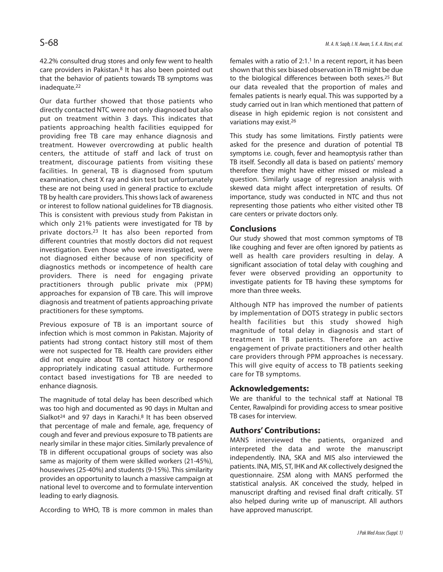42.2% consulted drug stores and only few went to health care providers in Pakistan.<sup>8</sup> It has also been pointed out that the behavior of patients towards TB symptoms was inadequate.<sup>22</sup>

Our data further showed that those patients who directly contacted NTC were not only diagnosed but also put on treatment within 3 days. This indicates that patients approaching health facilities equipped for providing free TB care may enhance diagnosis and treatment. However overcrowding at public health centers, the attitude of staff and lack of trust on treatment, discourage patients from visiting these facilities. In general, TB is diagnosed from sputum examination, chest X ray and skin test but unfortunately these are not being used in general practice to exclude TB by health care providers. This shows lack of awareness or interest to follow national guidelines for TB diagnosis. This is consistent with previous study from Pakistan in which only 21% patients were investigated for TB by private doctors.<sup>23</sup> It has also been reported from different countries that mostly doctors did not request investigation. Even those who were investigated, were not diagnosed either because of non specificity of diagnostics methods or incompetence of health care providers. There is need for engaging private practitioners through public private mix (PPM) approaches for expansion of TB care. This will improve diagnosis and treatment of patients approaching private practitioners for these symptoms.

Previous exposure of TB is an important source of infection which is most common in Pakistan. Majority of patients had strong contact history still most of them were not suspected for TB. Health care providers either did not enquire about TB contact history or respond appropriately indicating casual attitude. Furthermore contact based investigations for TB are needed to enhance diagnosis.

The magnitude of total delay has been described which was too high and documented as 90 days in Multan and Sialkot<sup>24</sup> and 97 days in Karachi.<sup>8</sup> It has been observed that percentage of male and female, age, frequency of cough and fever and previous exposure to TB patients are nearly similar in these major cities. Similarly prevalence of TB in different occupational groups of society was also same as majority of them were skilled workers (21-45%), housewives (25-40%) and students (9-15%). This similarity provides an opportunity to launch a massive campaign at national level to overcome and to formulate intervention leading to early diagnosis.

According to WHO, TB is more common in males than

females with a ratio of 2:1.<sup>1</sup> In a recent report, it has been shown that this sex biased observation in TB might be due to the biological differences between both sexes.<sup>25</sup> But our data revealed that the proportion of males and females patients is nearly equal. This was supported by a study carried out in Iran which mentioned that pattern of disease in high epidemic region is not consistent and variations may exist.<sup>26</sup>

This study has some limitations. Firstly patients were asked for the presence and duration of potential TB symptoms i.e. cough, fever and heamoptysis rather than TB itself. Secondly all data is based on patients' memory therefore they might have either missed or mislead a question. Similarly usage of regression analysis with skewed data might affect interpretation of results. Of importance, study was conducted in NTC and thus not representing those patients who either visited other TB care centers or private doctors only.

# **Conclusions**

Our study showed that most common symptoms of TB like coughing and fever are often ignored by patients as well as health care providers resulting in delay. A significant association of total delay with coughing and fever were observed providing an opportunity to investigate patients for TB having these symptoms for more than three weeks.

Although NTP has improved the number of patients by implementation of DOTS strategy in public sectors health facilities but this study showed high magnitude of total delay in diagnosis and start of treatment in TB patients. Therefore an active engagement of private practitioners and other health care providers through PPM approaches is necessary. This will give equity of access to TB patients seeking care for TB symptoms.

# **Acknowledgements:**

We are thankful to the technical staff at National TB Center, Rawalpindi for providing access to smear positive TB cases for interview.

# **Authors' Contributions:**

MANS interviewed the patients, organized and interpreted the data and wrote the manuscript independently. INA, SKA and MIS also interviewed the patients. INA, MIS, ST, IHK and AK collectively designed the questionnaire. ZSM along with MANS performed the statistical analysis. AK conceived the study, helped in manuscript drafting and revised final draft critically. ST also helped during write up of manuscript. All authors have approved manuscript.